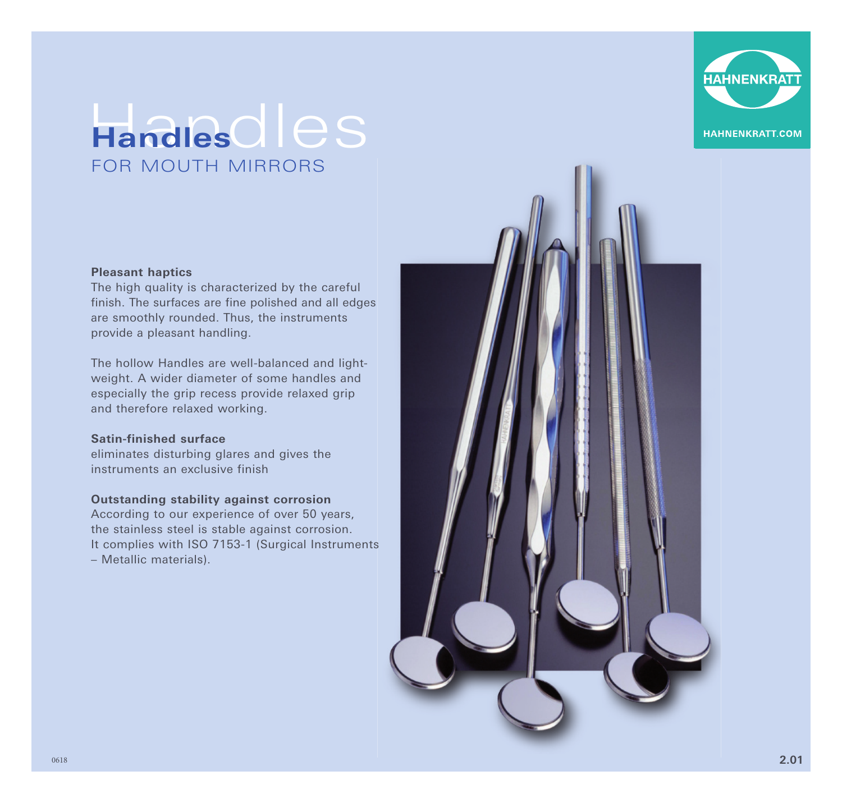

## Handles dles FOR MOUTH MIRRORS

## **Pleasant haptics**

The high quality is characterized by the careful finish. The surfaces are fine polished and all edges are smoothly rounded. Thus, the instruments provide a pleasant handling.

The hollow Handles are well-balanced and lightweight. A wider diameter of some handles and especially the grip recess provide relaxed grip and therefore relaxed working.

## **Satin-finished surface**

eliminates disturbing glares and gives the instruments an exclusive finish

## **Outstanding stability against corrosion**

According to our experience of over 50 years, the stainless steel is stable against corrosion. It complies with ISO 7153-1 (Surgical Instruments – Metallic materials).